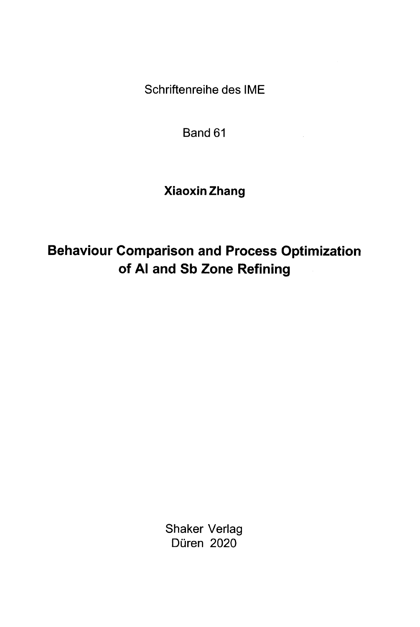Schriftenreihe des IME

Band 61

Xiaoxin Zhang

Behaviour Comparison and Process Optimization of Al and Sb Zone Refining

> Shaker Verlag Düren 2020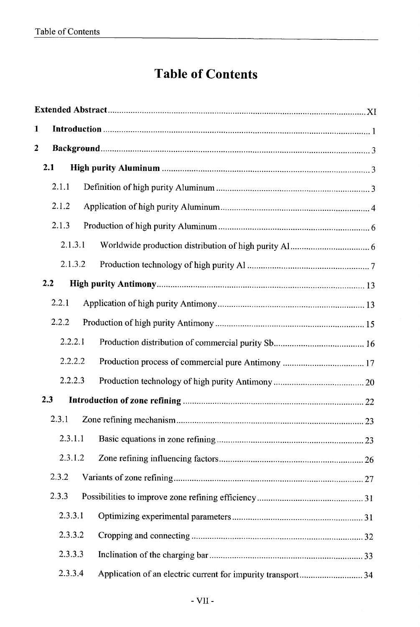## Table of Contents

| 1                       |         |                                                              |  |  |  |
|-------------------------|---------|--------------------------------------------------------------|--|--|--|
| $\overline{\mathbf{2}}$ |         |                                                              |  |  |  |
|                         | 2.1     |                                                              |  |  |  |
|                         | 2.1.1   |                                                              |  |  |  |
|                         | 2.1.2   |                                                              |  |  |  |
|                         | 2.1.3   |                                                              |  |  |  |
|                         | 2.1.3.1 |                                                              |  |  |  |
|                         | 2.1.3.2 |                                                              |  |  |  |
|                         | 2.2     |                                                              |  |  |  |
|                         | 2.2.1   |                                                              |  |  |  |
|                         | 2.2.2   |                                                              |  |  |  |
|                         | 2.2.2.1 |                                                              |  |  |  |
|                         | 2.2.2.2 |                                                              |  |  |  |
|                         | 2.2.2.3 |                                                              |  |  |  |
| 2.3                     |         |                                                              |  |  |  |
|                         | 2.3.1   |                                                              |  |  |  |
|                         | 2.3.1.1 |                                                              |  |  |  |
|                         | 2.3.1.2 |                                                              |  |  |  |
|                         | 2.3.2   |                                                              |  |  |  |
|                         | 2.3.3   |                                                              |  |  |  |
|                         | 2.3.3.1 |                                                              |  |  |  |
|                         | 2.3.3.2 |                                                              |  |  |  |
|                         | 2.3.3.3 |                                                              |  |  |  |
|                         | 2.3.3.4 | Application of an electric current for impurity transport 34 |  |  |  |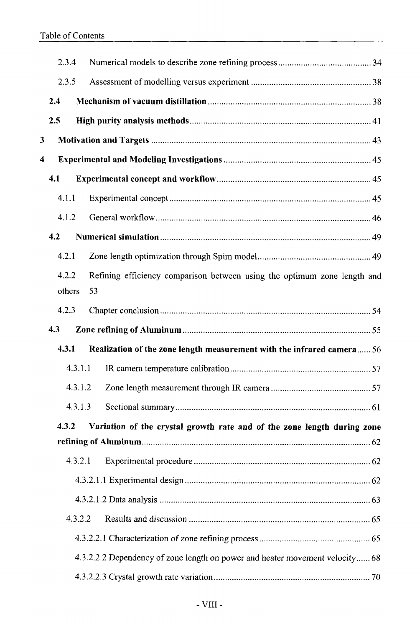|                                                                                  | 2.3.4  |         |                                                                              |  |
|----------------------------------------------------------------------------------|--------|---------|------------------------------------------------------------------------------|--|
|                                                                                  | 2.3.5  |         |                                                                              |  |
|                                                                                  | 2.4    |         |                                                                              |  |
|                                                                                  | 2.5    |         |                                                                              |  |
| 3                                                                                |        |         |                                                                              |  |
| 4                                                                                |        |         |                                                                              |  |
|                                                                                  | 4.1    |         |                                                                              |  |
|                                                                                  | 4.1.1  |         |                                                                              |  |
|                                                                                  | 4.1.2  |         |                                                                              |  |
|                                                                                  | 4.2    |         |                                                                              |  |
|                                                                                  | 4.2.1  |         |                                                                              |  |
|                                                                                  | 4.2.2  |         | Refining efficiency comparison between using the optimum zone length and     |  |
|                                                                                  | others |         | 53                                                                           |  |
|                                                                                  | 4.2.3  |         |                                                                              |  |
|                                                                                  | 4.3    |         |                                                                              |  |
|                                                                                  | 4.3.1  |         | Realization of the zone length measurement with the infrared camera 56       |  |
|                                                                                  |        | 4.3.1.1 |                                                                              |  |
|                                                                                  |        | 4.3.1.2 |                                                                              |  |
|                                                                                  |        | 4.3.1.3 |                                                                              |  |
| 4.3.2<br>Variation of the crystal growth rate and of the zone length during zone |        |         |                                                                              |  |
|                                                                                  |        |         |                                                                              |  |
|                                                                                  |        | 4.3.2.1 |                                                                              |  |
|                                                                                  |        |         |                                                                              |  |
|                                                                                  |        |         |                                                                              |  |
|                                                                                  |        | 4.3.2.2 |                                                                              |  |
|                                                                                  |        |         |                                                                              |  |
|                                                                                  |        |         | 4.3.2.2.2 Dependency of zone length on power and heater movement velocity 68 |  |
|                                                                                  |        |         |                                                                              |  |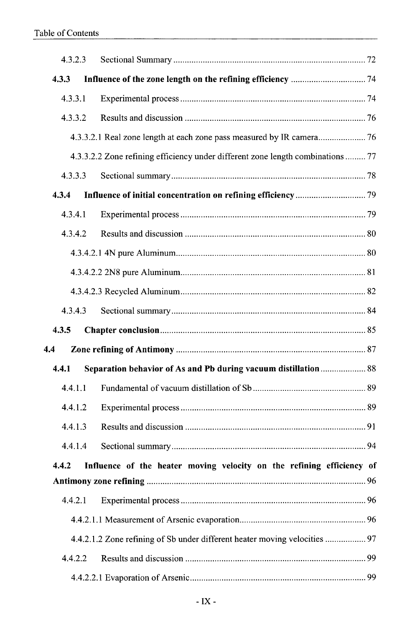| 4.3.2.3 |  |                                                                                 |  |
|---------|--|---------------------------------------------------------------------------------|--|
| 4.3.3   |  |                                                                                 |  |
| 4.3.3.1 |  |                                                                                 |  |
| 4.3.3.2 |  |                                                                                 |  |
|         |  |                                                                                 |  |
|         |  | 4.3.3.2.2 Zone refining efficiency under different zone length combinations  77 |  |
| 4.3.3.3 |  |                                                                                 |  |
| 4.3.4   |  |                                                                                 |  |
| 4.3.4.1 |  |                                                                                 |  |
| 4.3.4.2 |  |                                                                                 |  |
|         |  |                                                                                 |  |
|         |  |                                                                                 |  |
|         |  |                                                                                 |  |
| 4.3.4.3 |  |                                                                                 |  |
|         |  |                                                                                 |  |
| 4.3.5   |  |                                                                                 |  |
| 4.4     |  |                                                                                 |  |
| 4.4.1   |  | Separation behavior of As and Pb during vacuum distillation 88                  |  |
| 4.4.1.1 |  |                                                                                 |  |
| 4.4.1.2 |  |                                                                                 |  |
| 4.4.1.3 |  |                                                                                 |  |
| 4.4.1.4 |  |                                                                                 |  |
| 4.4.2   |  | Influence of the heater moving velocity on the refining efficiency of           |  |
|         |  |                                                                                 |  |
| 4.4.2.1 |  |                                                                                 |  |
|         |  |                                                                                 |  |
|         |  | 4.4.2.1.2 Zone refining of Sb under different heater moving velocities  97      |  |
| 4.4.2.2 |  |                                                                                 |  |